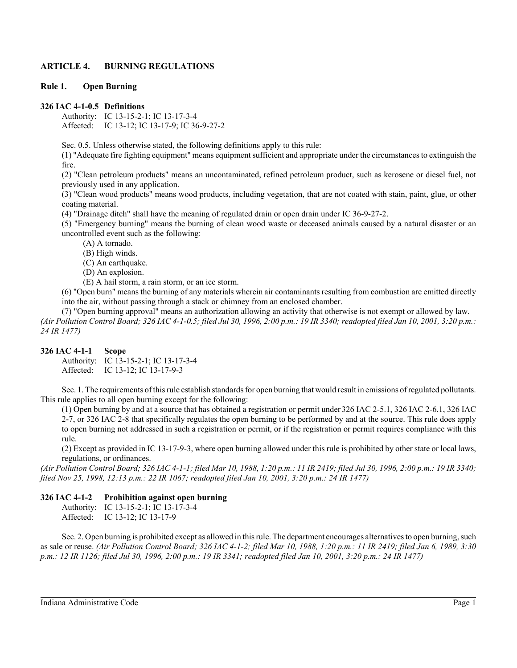# **ARTICLE 4. BURNING REGULATIONS**

### **Rule 1. Open Burning**

## **326 IAC 4-1-0.5 Definitions**

Authority: IC 13-15-2-1; IC 13-17-3-4 Affected: IC 13-12; IC 13-17-9; IC 36-9-27-2

Sec. 0.5. Unless otherwise stated, the following definitions apply to this rule:

(1) "Adequate fire fighting equipment" means equipment sufficient and appropriate under the circumstances to extinguish the fire.

(2) "Clean petroleum products" means an uncontaminated, refined petroleum product, such as kerosene or diesel fuel, not previously used in any application.

(3) "Clean wood products" means wood products, including vegetation, that are not coated with stain, paint, glue, or other coating material.

(4) "Drainage ditch" shall have the meaning of regulated drain or open drain under IC 36-9-27-2.

(5) "Emergency burning" means the burning of clean wood waste or deceased animals caused by a natural disaster or an uncontrolled event such as the following:

(A) A tornado.

(B) High winds.

(C) An earthquake.

(D) An explosion.

(E) A hail storm, a rain storm, or an ice storm.

(6) "Open burn" means the burning of any materials wherein air contaminants resulting from combustion are emitted directly into the air, without passing through a stack or chimney from an enclosed chamber.

(7) "Open burning approval" means an authorization allowing an activity that otherwise is not exempt or allowed by law. *(Air Pollution Control Board; 326 IAC 4-1-0.5; filed Jul 30, 1996, 2:00 p.m.: 19 IR 3340; readopted filed Jan 10, 2001, 3:20 p.m.: 24 IR 1477)*

#### **326 IAC 4-1-1 Scope**

Authority: IC 13-15-2-1; IC 13-17-3-4 Affected: IC 13-12; IC 13-17-9-3

Sec. 1. The requirements of this rule establish standards for open burning that would result in emissions of regulated pollutants. This rule applies to all open burning except for the following:

(1) Open burning by and at a source that has obtained a registration or permit under 326 IAC 2-5.1, 326 IAC 2-6.1, 326 IAC 2-7, or 326 IAC 2-8 that specifically regulates the open burning to be performed by and at the source. This rule does apply to open burning not addressed in such a registration or permit, or if the registration or permit requires compliance with this rule.

(2) Except as provided in IC 13-17-9-3, where open burning allowed under this rule is prohibited by other state or local laws, regulations, or ordinances.

*(Air Pollution Control Board; 326 IAC 4-1-1; filed Mar 10, 1988, 1:20 p.m.: 11 IR 2419; filed Jul 30, 1996, 2:00 p.m.: 19 IR 3340; filed Nov 25, 1998, 12:13 p.m.: 22 IR 1067; readopted filed Jan 10, 2001, 3:20 p.m.: 24 IR 1477)*

### **326 IAC 4-1-2 Prohibition against open burning**

Authority: IC 13-15-2-1; IC 13-17-3-4 Affected: IC 13-12; IC 13-17-9

Sec. 2. Open burning is prohibited except as allowed in this rule. The department encourages alternatives to open burning, such as sale or reuse. *(Air Pollution Control Board; 326 IAC 4-1-2; filed Mar 10, 1988, 1:20 p.m.: 11 IR 2419; filed Jan 6, 1989, 3:30 p.m.: 12 IR 1126; filed Jul 30, 1996, 2:00 p.m.: 19 IR 3341; readopted filed Jan 10, 2001, 3:20 p.m.: 24 IR 1477)*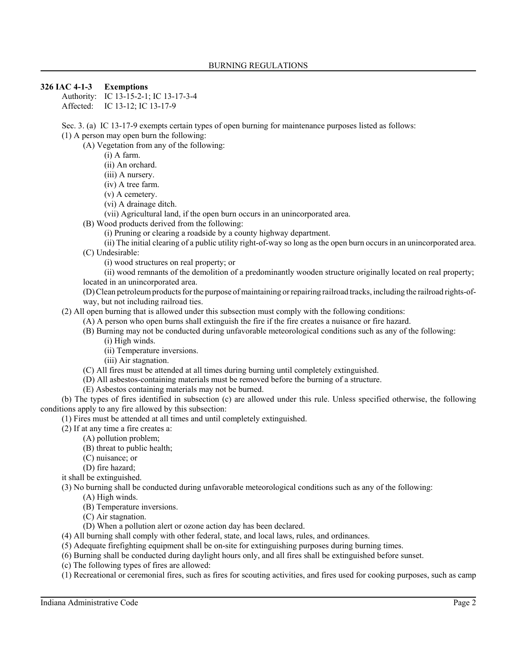## **326 IAC 4-1-3 Exemptions**

Authority: IC 13-15-2-1; IC 13-17-3-4 Affected: IC 13-12; IC 13-17-9

Sec. 3. (a) IC 13-17-9 exempts certain types of open burning for maintenance purposes listed as follows:

(1) A person may open burn the following:

(A) Vegetation from any of the following:

(i) A farm.

(ii) An orchard.

(iii) A nursery.

(iv) A tree farm.

(v) A cemetery.

(vi) A drainage ditch.

(vii) Agricultural land, if the open burn occurs in an unincorporated area.

(B) Wood products derived from the following:

(i) Pruning or clearing a roadside by a county highway department.

(ii) The initial clearing of a public utility right-of-way so long as the open burn occurs in an unincorporated area. (C) Undesirable:

(i) wood structures on real property; or

(ii) wood remnants of the demolition of a predominantly wooden structure originally located on real property; located in an unincorporated area.

(D) Clean petroleum products for the purpose of maintaining or repairing railroad tracks, including the railroad rights-ofway, but not including railroad ties.

(2) All open burning that is allowed under this subsection must comply with the following conditions:

(A) A person who open burns shall extinguish the fire if the fire creates a nuisance or fire hazard.

(B) Burning may not be conducted during unfavorable meteorological conditions such as any of the following: (i) High winds.

(ii) Temperature inversions.

(iii) Air stagnation.

(C) All fires must be attended at all times during burning until completely extinguished.

(D) All asbestos-containing materials must be removed before the burning of a structure.

(E) Asbestos containing materials may not be burned.

(b) The types of fires identified in subsection (c) are allowed under this rule. Unless specified otherwise, the following conditions apply to any fire allowed by this subsection:

(1) Fires must be attended at all times and until completely extinguished.

(2) If at any time a fire creates a:

(A) pollution problem;

(B) threat to public health;

(C) nuisance; or

(D) fire hazard;

it shall be extinguished.

(3) No burning shall be conducted during unfavorable meteorological conditions such as any of the following:

(A) High winds.

(B) Temperature inversions.

(C) Air stagnation.

(D) When a pollution alert or ozone action day has been declared.

(4) All burning shall comply with other federal, state, and local laws, rules, and ordinances.

(5) Adequate firefighting equipment shall be on-site for extinguishing purposes during burning times.

(6) Burning shall be conducted during daylight hours only, and all fires shall be extinguished before sunset.

(c) The following types of fires are allowed:

(1) Recreational or ceremonial fires, such as fires for scouting activities, and fires used for cooking purposes, such as camp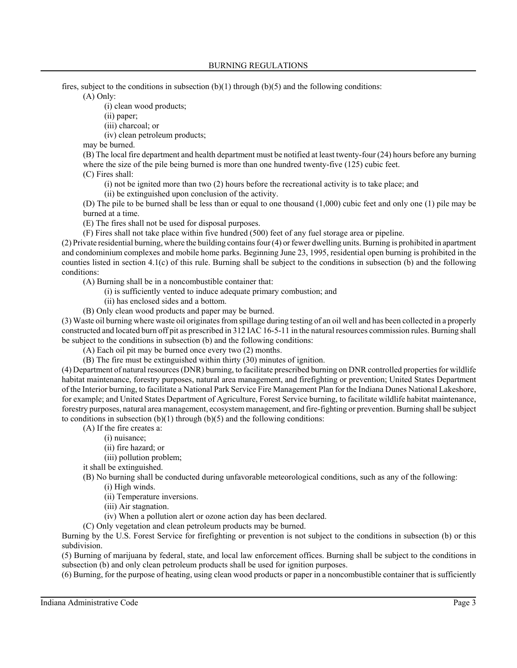fires, subject to the conditions in subsection  $(b)(1)$  through  $(b)(5)$  and the following conditions:

(A) Only:

(i) clean wood products;

(ii) paper;

(iii) charcoal; or

(iv) clean petroleum products;

may be burned.

(B) The local fire department and health department must be notified at least twenty-four (24) hours before any burning where the size of the pile being burned is more than one hundred twenty-five (125) cubic feet.

(C) Fires shall:

(i) not be ignited more than two (2) hours before the recreational activity is to take place; and

(ii) be extinguished upon conclusion of the activity.

(D) The pile to be burned shall be less than or equal to one thousand (1,000) cubic feet and only one (1) pile may be burned at a time.

(E) The fires shall not be used for disposal purposes.

(F) Fires shall not take place within five hundred (500) feet of any fuel storage area or pipeline.

(2) Private residential burning, where the building contains four (4) or fewer dwelling units. Burning is prohibited in apartment and condominium complexes and mobile home parks. Beginning June 23, 1995, residential open burning is prohibited in the counties listed in section 4.1(c) of this rule. Burning shall be subject to the conditions in subsection (b) and the following conditions:

(A) Burning shall be in a noncombustible container that:

- (i) is sufficiently vented to induce adequate primary combustion; and
- (ii) has enclosed sides and a bottom.
- (B) Only clean wood products and paper may be burned.

(3) Waste oil burning where waste oil originates from spillage during testing of an oil well and has been collected in a properly constructed and located burn off pit as prescribed in 312 IAC 16-5-11 in the natural resources commission rules. Burning shall be subject to the conditions in subsection (b) and the following conditions:

(A) Each oil pit may be burned once every two (2) months.

(B) The fire must be extinguished within thirty (30) minutes of ignition.

(4) Department of natural resources (DNR) burning, to facilitate prescribed burning on DNR controlled properties for wildlife habitat maintenance, forestry purposes, natural area management, and firefighting or prevention; United States Department of the Interior burning, to facilitate a National Park Service Fire Management Plan for the Indiana Dunes National Lakeshore, for example; and United States Department of Agriculture, Forest Service burning, to facilitate wildlife habitat maintenance, forestry purposes, natural area management, ecosystem management, and fire-fighting or prevention. Burning shall be subject to conditions in subsection  $(b)(1)$  through  $(b)(5)$  and the following conditions:

(A) If the fire creates a:

- (i) nuisance;
- (ii) fire hazard; or
- (iii) pollution problem;
- it shall be extinguished.

(B) No burning shall be conducted during unfavorable meteorological conditions, such as any of the following:

(i) High winds.

- (ii) Temperature inversions.
- (iii) Air stagnation.
- (iv) When a pollution alert or ozone action day has been declared.
- (C) Only vegetation and clean petroleum products may be burned.

Burning by the U.S. Forest Service for firefighting or prevention is not subject to the conditions in subsection (b) or this subdivision.

(5) Burning of marijuana by federal, state, and local law enforcement offices. Burning shall be subject to the conditions in subsection (b) and only clean petroleum products shall be used for ignition purposes.

(6) Burning, for the purpose of heating, using clean wood products or paper in a noncombustible container that is sufficiently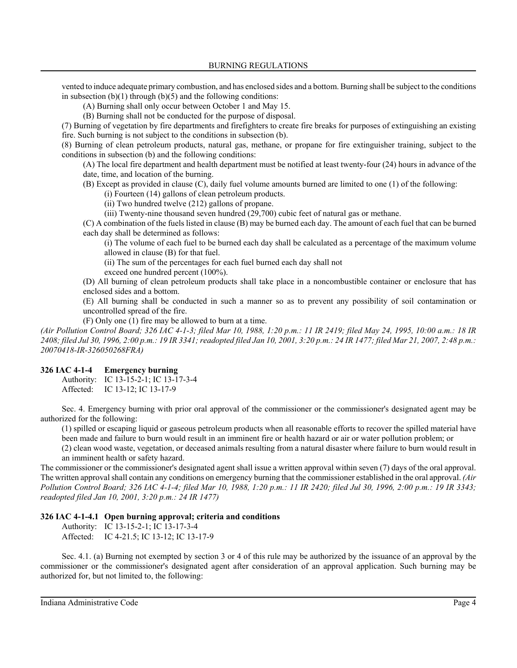vented to induce adequate primary combustion, and has enclosed sides and a bottom. Burning shall be subject to the conditions in subsection  $(b)(1)$  through  $(b)(5)$  and the following conditions:

(A) Burning shall only occur between October 1 and May 15.

(B) Burning shall not be conducted for the purpose of disposal.

(7) Burning of vegetation by fire departments and firefighters to create fire breaks for purposes of extinguishing an existing fire. Such burning is not subject to the conditions in subsection (b).

(8) Burning of clean petroleum products, natural gas, methane, or propane for fire extinguisher training, subject to the conditions in subsection (b) and the following conditions:

(A) The local fire department and health department must be notified at least twenty-four (24) hours in advance of the date, time, and location of the burning.

(B) Except as provided in clause (C), daily fuel volume amounts burned are limited to one (1) of the following:

(i) Fourteen (14) gallons of clean petroleum products.

(ii) Two hundred twelve (212) gallons of propane.

(iii) Twenty-nine thousand seven hundred (29,700) cubic feet of natural gas or methane.

(C) A combination of the fuels listed in clause (B) may be burned each day. The amount of each fuel that can be burned each day shall be determined as follows:

(i) The volume of each fuel to be burned each day shall be calculated as a percentage of the maximum volume allowed in clause (B) for that fuel.

(ii) The sum of the percentages for each fuel burned each day shall not

exceed one hundred percent (100%).

(D) All burning of clean petroleum products shall take place in a noncombustible container or enclosure that has enclosed sides and a bottom.

(E) All burning shall be conducted in such a manner so as to prevent any possibility of soil contamination or uncontrolled spread of the fire.

(F) Only one (1) fire may be allowed to burn at a time.

*(Air Pollution Control Board; 326 IAC 4-1-3; filed Mar 10, 1988, 1:20 p.m.: 11 IR 2419; filed May 24, 1995, 10:00 a.m.: 18 IR 2408; filed Jul 30, 1996, 2:00 p.m.: 19 IR 3341; readopted filed Jan 10, 2001, 3:20 p.m.: 24 IR 1477; filed Mar 21, 2007, 2:48 p.m.: 20070418-IR-326050268FRA)*

### **326 IAC 4-1-4 Emergency burning**

Authority: IC 13-15-2-1; IC 13-17-3-4 Affected: IC 13-12; IC 13-17-9

Sec. 4. Emergency burning with prior oral approval of the commissioner or the commissioner's designated agent may be authorized for the following:

(1) spilled or escaping liquid or gaseous petroleum products when all reasonable efforts to recover the spilled material have been made and failure to burn would result in an imminent fire or health hazard or air or water pollution problem; or

(2) clean wood waste, vegetation, or deceased animals resulting from a natural disaster where failure to burn would result in an imminent health or safety hazard.

The commissioner or the commissioner's designated agent shall issue a written approval within seven (7) days of the oral approval. The written approval shall contain any conditions on emergency burning that the commissioner established in the oral approval. *(Air Pollution Control Board; 326 IAC 4-1-4; filed Mar 10, 1988, 1:20 p.m.: 11 IR 2420; filed Jul 30, 1996, 2:00 p.m.: 19 IR 3343; readopted filed Jan 10, 2001, 3:20 p.m.: 24 IR 1477)*

### **326 IAC 4-1-4.1 Open burning approval; criteria and conditions**

Authority: IC 13-15-2-1; IC 13-17-3-4 Affected: IC 4-21.5; IC 13-12; IC 13-17-9

Sec. 4.1. (a) Burning not exempted by section 3 or 4 of this rule may be authorized by the issuance of an approval by the commissioner or the commissioner's designated agent after consideration of an approval application. Such burning may be authorized for, but not limited to, the following: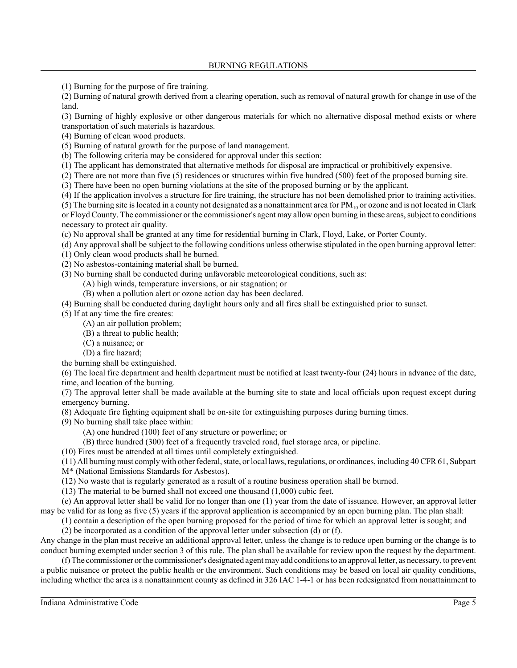(1) Burning for the purpose of fire training.

(2) Burning of natural growth derived from a clearing operation, such as removal of natural growth for change in use of the land.

(3) Burning of highly explosive or other dangerous materials for which no alternative disposal method exists or where transportation of such materials is hazardous.

(4) Burning of clean wood products.

(5) Burning of natural growth for the purpose of land management.

(b) The following criteria may be considered for approval under this section:

(1) The applicant has demonstrated that alternative methods for disposal are impractical or prohibitively expensive.

(2) There are not more than five (5) residences or structures within five hundred (500) feet of the proposed burning site.

(3) There have been no open burning violations at the site of the proposed burning or by the applicant.

(4) If the application involves a structure for fire training, the structure has not been demolished prior to training activities.

(5) The burning site is located in a county not designated as a nonattainment area for  $PM<sub>10</sub>$  or ozone and is not located in Clark or Floyd County. The commissioner or the commissioner's agent may allow open burning in these areas, subject to conditions necessary to protect air quality.

(c) No approval shall be granted at any time for residential burning in Clark, Floyd, Lake, or Porter County.

(d) Any approval shall be subject to the following conditions unless otherwise stipulated in the open burning approval letter:

(1) Only clean wood products shall be burned.

(2) No asbestos-containing material shall be burned.

(3) No burning shall be conducted during unfavorable meteorological conditions, such as:

(A) high winds, temperature inversions, or air stagnation; or

(B) when a pollution alert or ozone action day has been declared.

(4) Burning shall be conducted during daylight hours only and all fires shall be extinguished prior to sunset.

(5) If at any time the fire creates:

(A) an air pollution problem;

(B) a threat to public health;

(C) a nuisance; or

(D) a fire hazard;

the burning shall be extinguished.

(6) The local fire department and health department must be notified at least twenty-four (24) hours in advance of the date, time, and location of the burning.

(7) The approval letter shall be made available at the burning site to state and local officials upon request except during emergency burning.

(8) Adequate fire fighting equipment shall be on-site for extinguishing purposes during burning times.

(9) No burning shall take place within:

(A) one hundred (100) feet of any structure or powerline; or

(B) three hundred (300) feet of a frequently traveled road, fuel storage area, or pipeline.

(10) Fires must be attended at all times until completely extinguished.

(11) All burning must comply with other federal, state, or local laws, regulations, or ordinances, including 40 CFR 61, Subpart

M\* (National Emissions Standards for Asbestos).

(12) No waste that is regularly generated as a result of a routine business operation shall be burned.

(13) The material to be burned shall not exceed one thousand (1,000) cubic feet.

(e) An approval letter shall be valid for no longer than one (1) year from the date of issuance. However, an approval letter may be valid for as long as five (5) years if the approval application is accompanied by an open burning plan. The plan shall:

(1) contain a description of the open burning proposed for the period of time for which an approval letter is sought; and (2) be incorporated as a condition of the approval letter under subsection (d) or (f).

Any change in the plan must receive an additional approval letter, unless the change is to reduce open burning or the change is to conduct burning exempted under section 3 of this rule. The plan shall be available for review upon the request by the department.

(f) The commissioner or the commissioner's designated agent may add conditions to an approval letter, as necessary, to prevent a public nuisance or protect the public health or the environment. Such conditions may be based on local air quality conditions, including whether the area is a nonattainment county as defined in 326 IAC 1-4-1 or has been redesignated from nonattainment to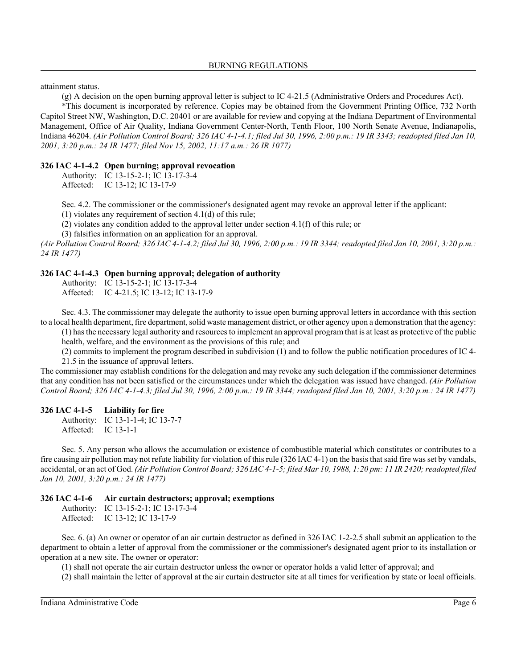attainment status.

(g) A decision on the open burning approval letter is subject to IC 4-21.5 (Administrative Orders and Procedures Act).

\*This document is incorporated by reference. Copies may be obtained from the Government Printing Office, 732 North Capitol Street NW, Washington, D.C. 20401 or are available for review and copying at the Indiana Department of Environmental Management, Office of Air Quality, Indiana Government Center-North, Tenth Floor, 100 North Senate Avenue, Indianapolis, Indiana 46204. *(Air Pollution Control Board; 326 IAC 4-1-4.1; filed Jul 30, 1996, 2:00 p.m.: 19 IR 3343; readopted filed Jan 10, 2001, 3:20 p.m.: 24 IR 1477; filed Nov 15, 2002, 11:17 a.m.: 26 IR 1077)*

#### **326 IAC 4-1-4.2 Open burning; approval revocation**

Authority: IC 13-15-2-1; IC 13-17-3-4 Affected: IC 13-12; IC 13-17-9

Sec. 4.2. The commissioner or the commissioner's designated agent may revoke an approval letter if the applicant:

(1) violates any requirement of section 4.1(d) of this rule;

(2) violates any condition added to the approval letter under section 4.1(f) of this rule; or

(3) falsifies information on an application for an approval.

*(Air Pollution Control Board; 326 IAC 4-1-4.2; filed Jul 30, 1996, 2:00 p.m.: 19 IR 3344; readopted filed Jan 10, 2001, 3:20 p.m.: 24 IR 1477)*

#### **326 IAC 4-1-4.3 Open burning approval; delegation of authority**

- Authority: IC 13-15-2-1; IC 13-17-3-4
- Affected: IC 4-21.5; IC 13-12; IC 13-17-9

Sec. 4.3. The commissioner may delegate the authority to issue open burning approval letters in accordance with this section to a local health department, fire department, solid waste management district, or other agency upon a demonstration that the agency:

(1) has the necessary legal authority and resources to implement an approval program that is at least as protective of the public health, welfare, and the environment as the provisions of this rule; and

(2) commits to implement the program described in subdivision (1) and to follow the public notification procedures of IC 4- 21.5 in the issuance of approval letters.

The commissioner may establish conditions for the delegation and may revoke any such delegation if the commissioner determines that any condition has not been satisfied or the circumstances under which the delegation was issued have changed. *(Air Pollution Control Board; 326 IAC 4-1-4.3; filed Jul 30, 1996, 2:00 p.m.: 19 IR 3344; readopted filed Jan 10, 2001, 3:20 p.m.: 24 IR 1477)*

#### **326 IAC 4-1-5 Liability for fire**

Authority: IC 13-1-1-4; IC 13-7-7 Affected: IC 13-1-1

Sec. 5. Any person who allows the accumulation or existence of combustible material which constitutes or contributes to a fire causing air pollution may not refute liability for violation of this rule (326 IAC 4-1) on the basis that said fire was set by vandals, accidental, or an act of God. *(Air Pollution Control Board; 326 IAC 4-1-5; filed Mar 10, 1988, 1:20 pm: 11 IR 2420; readopted filed Jan 10, 2001, 3:20 p.m.: 24 IR 1477)*

## **326 IAC 4-1-6 Air curtain destructors; approval; exemptions**

Authority: IC 13-15-2-1; IC 13-17-3-4 Affected: IC 13-12; IC 13-17-9

Sec. 6. (a) An owner or operator of an air curtain destructor as defined in 326 IAC 1-2-2.5 shall submit an application to the department to obtain a letter of approval from the commissioner or the commissioner's designated agent prior to its installation or operation at a new site. The owner or operator:

(1) shall not operate the air curtain destructor unless the owner or operator holds a valid letter of approval; and

(2) shall maintain the letter of approval at the air curtain destructor site at all times for verification by state or local officials.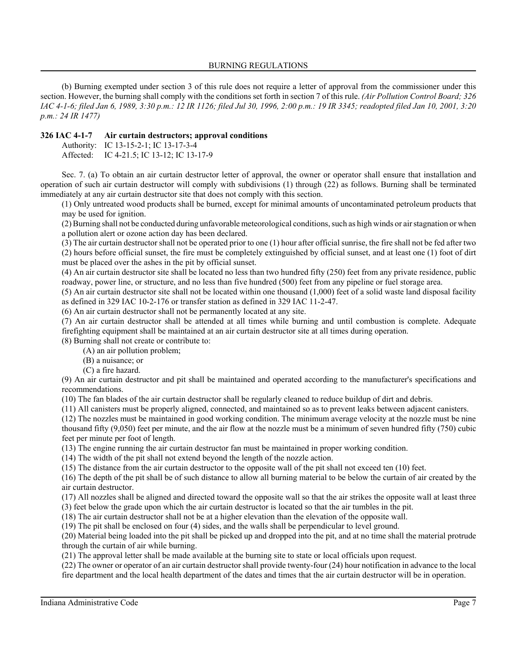(b) Burning exempted under section 3 of this rule does not require a letter of approval from the commissioner under this section. However, the burning shall comply with the conditions set forth in section 7 of this rule. *(Air Pollution Control Board; 326 IAC 4-1-6; filed Jan 6, 1989, 3:30 p.m.: 12 IR 1126; filed Jul 30, 1996, 2:00 p.m.: 19 IR 3345; readopted filed Jan 10, 2001, 3:20 p.m.: 24 IR 1477)*

#### **326 IAC 4-1-7 Air curtain destructors; approval conditions**

Authority: IC 13-15-2-1; IC 13-17-3-4 Affected: IC 4-21.5; IC 13-12; IC 13-17-9

Sec. 7. (a) To obtain an air curtain destructor letter of approval, the owner or operator shall ensure that installation and operation of such air curtain destructor will comply with subdivisions (1) through (22) as follows. Burning shall be terminated immediately at any air curtain destructor site that does not comply with this section.

(1) Only untreated wood products shall be burned, except for minimal amounts of uncontaminated petroleum products that may be used for ignition.

(2) Burning shall not be conducted during unfavorable meteorological conditions, such as high winds or air stagnation or when a pollution alert or ozone action day has been declared.

(3) The air curtain destructor shall not be operated prior to one (1) hour after official sunrise, the fire shall not be fed after two (2) hours before official sunset, the fire must be completely extinguished by official sunset, and at least one (1) foot of dirt must be placed over the ashes in the pit by official sunset.

(4) An air curtain destructor site shall be located no less than two hundred fifty (250) feet from any private residence, public roadway, power line, or structure, and no less than five hundred (500) feet from any pipeline or fuel storage area.

(5) An air curtain destructor site shall not be located within one thousand (1,000) feet of a solid waste land disposal facility as defined in 329 IAC 10-2-176 or transfer station as defined in 329 IAC 11-2-47.

(6) An air curtain destructor shall not be permanently located at any site.

(7) An air curtain destructor shall be attended at all times while burning and until combustion is complete. Adequate firefighting equipment shall be maintained at an air curtain destructor site at all times during operation.

(8) Burning shall not create or contribute to: (A) an air pollution problem;

(B) a nuisance; or

(C) a fire hazard.

(9) An air curtain destructor and pit shall be maintained and operated according to the manufacturer's specifications and recommendations.

(10) The fan blades of the air curtain destructor shall be regularly cleaned to reduce buildup of dirt and debris.

(11) All canisters must be properly aligned, connected, and maintained so as to prevent leaks between adjacent canisters.

(12) The nozzles must be maintained in good working condition. The minimum average velocity at the nozzle must be nine thousand fifty (9,050) feet per minute, and the air flow at the nozzle must be a minimum of seven hundred fifty (750) cubic feet per minute per foot of length.

(13) The engine running the air curtain destructor fan must be maintained in proper working condition.

(14) The width of the pit shall not extend beyond the length of the nozzle action.

(15) The distance from the air curtain destructor to the opposite wall of the pit shall not exceed ten (10) feet.

(16) The depth of the pit shall be of such distance to allow all burning material to be below the curtain of air created by the air curtain destructor.

(17) All nozzles shall be aligned and directed toward the opposite wall so that the air strikes the opposite wall at least three (3) feet below the grade upon which the air curtain destructor is located so that the air tumbles in the pit.

(18) The air curtain destructor shall not be at a higher elevation than the elevation of the opposite wall.

(19) The pit shall be enclosed on four (4) sides, and the walls shall be perpendicular to level ground.

(20) Material being loaded into the pit shall be picked up and dropped into the pit, and at no time shall the material protrude through the curtain of air while burning.

(21) The approval letter shall be made available at the burning site to state or local officials upon request.

(22) The owner or operator of an air curtain destructor shall provide twenty-four (24) hour notification in advance to the local fire department and the local health department of the dates and times that the air curtain destructor will be in operation.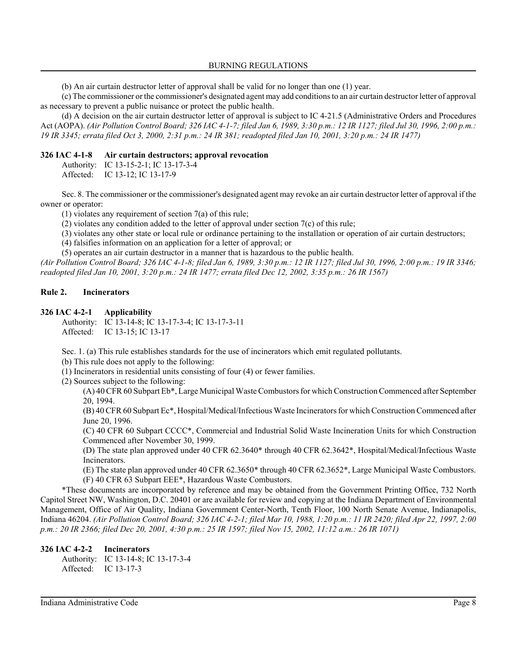BURNING REGULATIONS

(b) An air curtain destructor letter of approval shall be valid for no longer than one (1) year.

(c) The commissioner or the commissioner's designated agent may add conditions to an air curtain destructor letter of approval as necessary to prevent a public nuisance or protect the public health.

(d) A decision on the air curtain destructor letter of approval is subject to IC 4-21.5 (Administrative Orders and Procedures Act (AOPA). *(Air Pollution Control Board; 326 IAC 4-1-7; filed Jan 6, 1989, 3:30 p.m.: 12 IR 1127; filed Jul 30, 1996, 2:00 p.m.: 19 IR 3345; errata filed Oct 3, 2000, 2:31 p.m.: 24 IR 381; readopted filed Jan 10, 2001, 3:20 p.m.: 24 IR 1477)*

## **326 IAC 4-1-8 Air curtain destructors; approval revocation**

Authority: IC 13-15-2-1; IC 13-17-3-4 Affected: IC 13-12; IC 13-17-9

Sec. 8. The commissioner or the commissioner's designated agent may revoke an air curtain destructor letter of approval if the owner or operator:

(1) violates any requirement of section 7(a) of this rule;

(2) violates any condition added to the letter of approval under section 7(c) of this rule;

(3) violates any other state or local rule or ordinance pertaining to the installation or operation of air curtain destructors;

(4) falsifies information on an application for a letter of approval; or

(5) operates an air curtain destructor in a manner that is hazardous to the public health.

*(Air Pollution Control Board; 326 IAC 4-1-8; filed Jan 6, 1989, 3:30 p.m.: 12 IR 1127; filed Jul 30, 1996, 2:00 p.m.: 19 IR 3346; readopted filed Jan 10, 2001, 3:20 p.m.: 24 IR 1477; errata filed Dec 12, 2002, 3:35 p.m.: 26 IR 1567)*

# **Rule 2. Incinerators**

## **326 IAC 4-2-1 Applicability**

Authority: IC 13-14-8; IC 13-17-3-4; IC 13-17-3-11 Affected: IC 13-15; IC 13-17

Sec. 1. (a) This rule establishes standards for the use of incinerators which emit regulated pollutants.

(b) This rule does not apply to the following:

(1) Incinerators in residential units consisting of four (4) or fewer families.

(2) Sources subject to the following:

(A) 40 CFR 60 Subpart Eb\*, Large Municipal Waste Combustors for which Construction Commenced after September 20, 1994.

(B) 40 CFR 60 Subpart Ec\*, Hospital/Medical/Infectious Waste Incinerators for which Construction Commenced after June 20, 1996.

(C) 40 CFR 60 Subpart CCCC\*, Commercial and Industrial Solid Waste Incineration Units for which Construction Commenced after November 30, 1999.

(D) The state plan approved under 40 CFR 62.3640\* through 40 CFR 62.3642\*, Hospital/Medical/Infectious Waste Incinerators.

(E) The state plan approved under 40 CFR 62.3650\* through 40 CFR 62.3652\*, Large Municipal Waste Combustors. (F) 40 CFR 63 Subpart EEE\*, Hazardous Waste Combustors.

\*These documents are incorporated by reference and may be obtained from the Government Printing Office, 732 North Capitol Street NW, Washington, D.C. 20401 or are available for review and copying at the Indiana Department of Environmental Management, Office of Air Quality, Indiana Government Center-North, Tenth Floor, 100 North Senate Avenue, Indianapolis, Indiana 46204. *(Air Pollution Control Board; 326 IAC 4-2-1; filed Mar 10, 1988, 1:20 p.m.: 11 IR 2420; filed Apr 22, 1997, 2:00 p.m.: 20 IR 2366; filed Dec 20, 2001, 4:30 p.m.: 25 IR 1597; filed Nov 15, 2002, 11:12 a.m.: 26 IR 1071)*

# **326 IAC 4-2-2 Incinerators**

Authority: IC 13-14-8; IC 13-17-3-4 Affected: IC 13-17-3